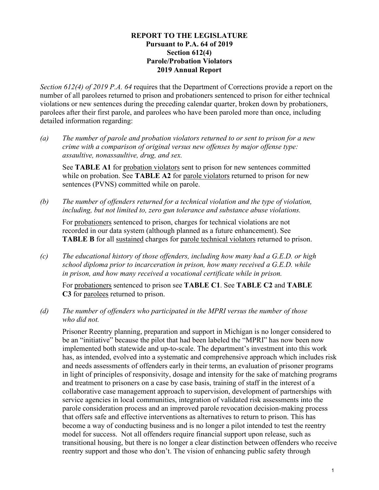#### **REPORT TO THE LEGISLATURE Pursuant to P.A. 64 of 2019 Section 612(2) Parole/Probation Violators 2019 Annual Report**

*Section 612(2) of 2019 P.A. 64* requires that the Department of Corrections provide a report on the number of all parolees returned to prison and probationers sentenced to prison for either technical violations or new sentences during the preceding calendar quarter, broken down by probationers, parolees after their first parole, and parolees who have been paroled more than once, including detailed information regarding:

*(a) The number of parole and probation violators returned to or sent to prison for a new crime with a comparison of original versus new offenses by major offense type: assaultive, nonassaultive, drug, and sex.*

See **TABLE A1** for probation violators sent to prison for new sentences committed while on probation. See **TABLE A2** for parole violators returned to prison for new sentences (PVNS) committed while on parole.

*(b) The number of offenders returned for a technical violation and the type of violation, including, but not limited to, zero gun tolerance and substance abuse violations.*

For probationers sentenced to prison, charges for technical violations are not recorded in our data system (although planned as a future enhancement). See **TABLE B** for all sustained charges for parole technical violators returned to prison.

*(c) The educational history of those offenders, including how many had a G.E.D. or high school diploma prior to incarceration in prison, how many received a G.E.D. while in prison, and how many received a vocational certificate while in prison.*

For probationers sentenced to prison see **TABLE C1**. See **TABLE C2** and **TABLE C3** for parolees returned to prison.

*(d) The number of offenders who participated in the MPRI versus the number of those who did not.*

Prisoner Reentry planning, preparation and support in Michigan is no longer considered to be an "initiative" because the pilot that had been labeled the "MPRI" has now been now implemented both statewide and up-to-scale. The department's investment into this work has, as intended, evolved into a systematic and comprehensive approach which includes risk and needs assessments of offenders early in their terms, an evaluation of prisoner programs in light of principles of responsivity, dosage and intensity for the sake of matching programs and treatment to prisoners on a case by case basis, training of staff in the interest of a collaborative case management approach to supervision, development of partnerships with service agencies in local communities, integration of validated risk assessments into the parole consideration process and an improved parole revocation decision-making process that offers safe and effective interventions as alternatives to return to prison. This has become a way of conducting business and is no longer a pilot intended to test the reentry model for success. Not all offenders require financial support upon release, such as transitional housing, but there is no longer a clear distinction between offenders who receive reentry support and those who don't. The vision of enhancing public safety through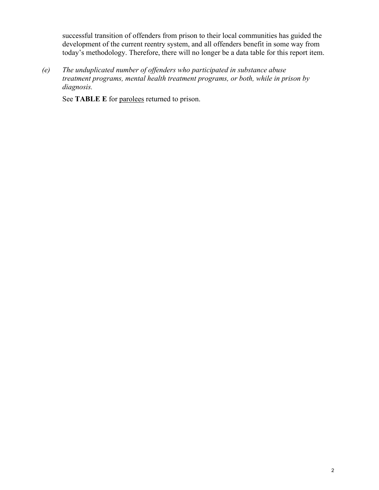successful transition of offenders from prison to their local communities has guided the development of the current reentry system, and all offenders benefit in some way from today's methodology. Therefore, there will no longer be a data table for this report item.

*(e) The unduplicated number of offenders who participated in substance abuse treatment programs, mental health treatment programs, or both, while in prison by diagnosis.*

See **TABLE** E for parolees returned to prison.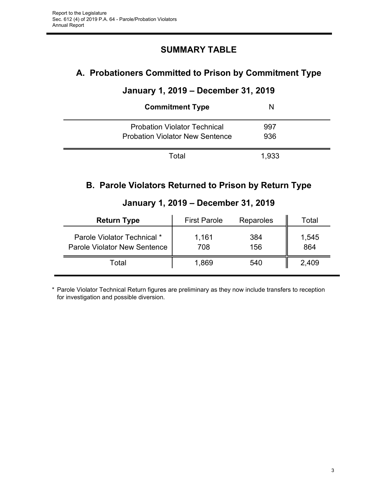# **SUMMARY TABLE**

# **A. Probationers Committed to Prison by Commitment Type**

# **January 1, 2019 – December 31, 2019**

| <b>Commitment Type</b>                                                        | N          |  |
|-------------------------------------------------------------------------------|------------|--|
| <b>Probation Violator Technical</b><br><b>Probation Violator New Sentence</b> | 997<br>936 |  |
| Total                                                                         | 1,933      |  |

# **B. Parole Violators Returned to Prison by Return Type**

| <b>Return Type</b>                                                 | <b>First Parole</b> | <b>Reparoles</b> | Total        |
|--------------------------------------------------------------------|---------------------|------------------|--------------|
| Parole Violator Technical *<br><b>Parole Violator New Sentence</b> | 1,161<br>708        | 384<br>156       | 1,545<br>864 |
| Total                                                              | 1,869               | 540              | 2,409        |

# **January 1, 2019 – December 31, 2019**

\* Parole Violator Technical Return figures are preliminary as they now include transfers to reception for investigation and possible diversion.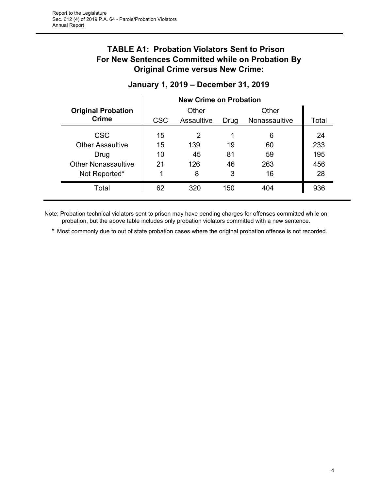# **TABLE A1: Probation Violators Sent to Prison For New Sentences Committed while on Probation By Original Crime versus New Crime:**

| <b>Original Probation</b>  |            | Other      |      | Other         |       |
|----------------------------|------------|------------|------|---------------|-------|
| <b>Crime</b>               | <b>CSC</b> | Assaultive | Drug | Nonassaultive | Total |
| <b>CSC</b>                 | 15         | 2          |      | 6             | 24    |
| <b>Other Assaultive</b>    | 15         | 139        | 19   | 60            | 233   |
| Drug                       | 10         | 45         | 81   | 59            | 195   |
| <b>Other Nonassaultive</b> | 21         | 126        | 46   | 263           | 456   |
| Not Reported*              |            | 8          | 3    | 16            | 28    |
| Total                      | 62         | 320        | 150  | 404           | 936   |

## **January 1, 2019 – December 31, 2019**

Note: Probation technical violators sent to prison may have pending charges for offenses committed while on probation, but the above table includes only probation violators committed with a new sentence.

\* Most commonly due to out of state probation cases where the original probation offense is not recorded.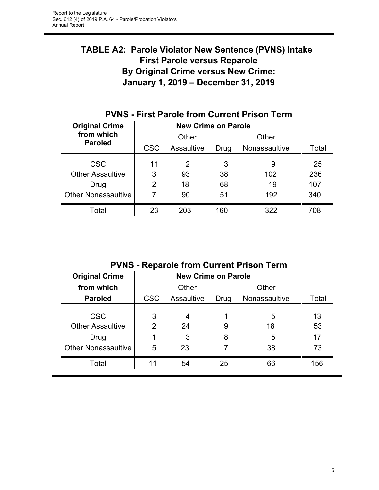# **TABLE A2: Parole Violator New Sentence (PVNS) Intake First Parole versus Reparole By Original Crime versus New Crime: January 1, 2019 – December 31, 2019**

| <b>Original Crime</b>        | <b>New Crime on Parole</b> |            |      |               |       |  |
|------------------------------|----------------------------|------------|------|---------------|-------|--|
| from which<br><b>Paroled</b> | Other                      |            |      | Other         |       |  |
|                              | <b>CSC</b>                 | Assaultive | Drug | Nonassaultive | Total |  |
| <b>CSC</b>                   | 11                         | 2          | 3    | 9             | 25    |  |
| <b>Other Assaultive</b>      | 3                          | 93         | 38   | 102           | 236   |  |
| Drug                         | 2                          | 18         | 68   | 19            | 107   |  |
| <b>Other Nonassaultive</b>   |                            | 90         | 51   | 192           | 340   |  |
| Total                        | 23                         | 203        | 160  | 322           | 708   |  |

# **PVNS - First Parole from Current Prison Term**

**PVNS - Reparole from Current Prison Term**

|             |                    |                       | <b>New Crime on Parole</b> |                      |  |  |  |
|-------------|--------------------|-----------------------|----------------------------|----------------------|--|--|--|
|             | Other              |                       | Other                      |                      |  |  |  |
| <b>CSC</b>  | Assaultive         | Nonassaultive<br>Drug |                            | Total                |  |  |  |
| 3<br>2<br>5 | 4<br>24<br>3<br>23 | 9<br>8                | 5<br>18<br>5<br>38         | 13<br>53<br>17<br>73 |  |  |  |
| 11          | 54                 | 25                    | 66                         | 156                  |  |  |  |
|             |                    |                       |                            |                      |  |  |  |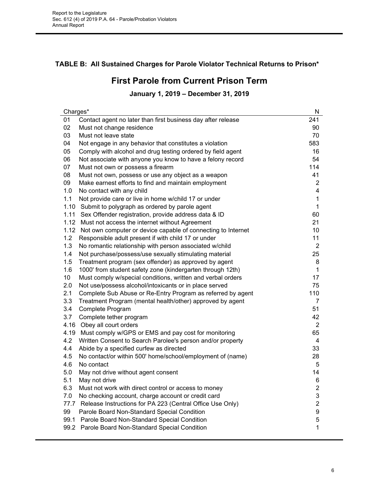## **TABLE B: All Sustained Charges for Parole Violator Technical Returns to Prison\***

# **First Parole from Current Prison Term**

## **January 1, 2019 – December 31, 2019**

| Charges*        |                                                                   | N                |
|-----------------|-------------------------------------------------------------------|------------------|
| 01              | Contact agent no later than first business day after release      | 241              |
| 02              | Must not change residence                                         | 90               |
| 03              | Must not leave state                                              | 70               |
| 04              | Not engage in any behavior that constitutes a violation           | 583              |
| 05              | Comply with alcohol and drug testing ordered by field agent       | 16               |
| 06              | Not associate with anyone you know to have a felony record        | 54               |
| 07              | Must not own or possess a firearm                                 | 114              |
| 08              | Must not own, possess or use any object as a weapon               | 41               |
| 09              | Make earnest efforts to find and maintain employment              | $\overline{2}$   |
| 1.0             | No contact with any child                                         | 4                |
| 1.1             | Not provide care or live in home w/child 17 or under              | $\mathbf 1$      |
| 1.10            | Submit to polygraph as ordered by parole agent                    | 1                |
| 1.11            | Sex Offender registration, provide address data & ID              | 60               |
| 1.12            | Must not access the internet without Agreement                    | 21               |
|                 | 1.12 Not own computer or device capable of connecting to Internet | 10               |
| 1.2             | Responsible adult present if with child 17 or under               | 11               |
| 1.3             | No romantic relationship with person associated w/child           | 2                |
| 1.4             | Not purchase/possess/use sexually stimulating material            | 25               |
| 1.5             | Treatment program (sex offender) as approved by agent             | 8                |
| 1.6             | 1000' from student safety zone (kindergarten through 12th)        | 1                |
| 10 <sup>°</sup> | Must comply w/special conditions, written and verbal orders       | 17               |
| 2.0             | Not use/possess alcohol/intoxicants or in place served            | 75               |
| 2.1             | Complete Sub Abuse or Re-Entry Program as referred by agent       | 110              |
| 3.3             | Treatment Program (mental health/other) approved by agent         | 7                |
| 3.4             | Complete Program                                                  | 51               |
| 3.7             | Complete tether program                                           | 42               |
|                 | 4.16 Obey all court orders                                        | $\overline{2}$   |
|                 | 4.19 Must comply w/GPS or EMS and pay cost for monitoring         | 65               |
| 4.2             | Written Consent to Search Parolee's person and/or property        | 4                |
| 4.4             | Abide by a specified curfew as directed                           | 33               |
| 4.5             | No contact/or within 500' home/school/employment of (name)        | 28               |
| 4.6             | No contact                                                        | 5                |
| 5.0             | May not drive without agent consent                               | 14               |
| 5.1             | May not drive                                                     | 6                |
| 6.3             | Must not work with direct control or access to money              | $\overline{2}$   |
| 7.0             | No checking account, charge account or credit card                | $\mathsf 3$      |
| 77.7            | Release Instructions for PA 223 (Central Office Use Only)         | $\overline{2}$   |
| 99              | Parole Board Non-Standard Special Condition                       | $\boldsymbol{9}$ |
|                 | 99.1 Parole Board Non-Standard Special Condition                  | $\sqrt{5}$       |
|                 | 99.2 Parole Board Non-Standard Special Condition                  | 1                |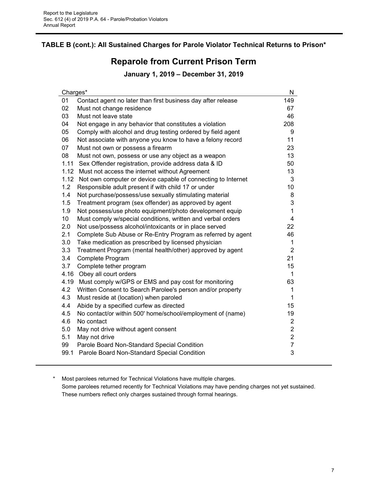## **TABLE B (cont.): All Sustained Charges for Parole Violator Technical Returns to Prison\***

## **Reparole from Current Prison Term**

#### **January 1, 2019 – December 31, 2019**

| Charges*                                                                       | N                       |
|--------------------------------------------------------------------------------|-------------------------|
| 01<br>Contact agent no later than first business day after release             | 149                     |
| 02<br>Must not change residence                                                | 67                      |
| 03<br>Must not leave state                                                     | 46                      |
| 04<br>Not engage in any behavior that constitutes a violation                  | 208                     |
| 05<br>Comply with alcohol and drug testing ordered by field agent              | 9                       |
| 06<br>Not associate with anyone you know to have a felony record               | 11                      |
| 07<br>Must not own or possess a firearm                                        | 23                      |
| 08<br>Must not own, possess or use any object as a weapon                      | 13                      |
| 1.11<br>Sex Offender registration, provide address data & ID                   | 50                      |
| 1.12 Must not access the internet without Agreement                            | 13                      |
| 1.12 Not own computer or device capable of connecting to Internet              | 3                       |
| 1.2<br>Responsible adult present if with child 17 or under                     | 10                      |
| 1.4<br>Not purchase/possess/use sexually stimulating material                  | 8                       |
| 1.5<br>Treatment program (sex offender) as approved by agent                   | 3                       |
| 1.9<br>Not possess/use photo equipment/photo development equip                 | $\mathbf{1}$            |
| 10 <sub>1</sub><br>Must comply w/special conditions, written and verbal orders | $\overline{\mathbf{4}}$ |
| 2.0<br>Not use/possess alcohol/intoxicants or in place served                  | 22                      |
| Complete Sub Abuse or Re-Entry Program as referred by agent<br>2.1             | 46                      |
| 3.0<br>Take medication as prescribed by licensed physician                     | $\mathbf 1$             |
| 3.3<br>Treatment Program (mental health/other) approved by agent               | $\overline{2}$          |
| 3.4<br>Complete Program                                                        | 21                      |
| 3.7<br>Complete tether program                                                 | 15                      |
| 4.16 Obey all court orders                                                     | $\mathbf{1}$            |
| 4.19<br>Must comply w/GPS or EMS and pay cost for monitoring                   | 63                      |
| 4.2<br>Written Consent to Search Parolee's person and/or property              | 1                       |
| 4.3<br>Must reside at (location) when paroled                                  | $\mathbf{1}$            |
| 4.4<br>Abide by a specified curfew as directed                                 | 15                      |
| 4.5<br>No contact/or within 500' home/school/employment of (name)              | 19                      |
| 4.6<br>No contact                                                              | $\overline{2}$          |
| 5.0<br>May not drive without agent consent                                     | $\overline{2}$          |
| 5.1<br>May not drive                                                           | $\overline{c}$          |
| 99<br>Parole Board Non-Standard Special Condition                              | $\overline{7}$          |
| 99.1 Parole Board Non-Standard Special Condition                               | 3                       |
|                                                                                |                         |

\* Most parolees returned for Technical Violations have multiple charges. Some parolees returned recently for Technical Violations may have pending charges not yet sustained. These numbers reflect only charges sustained through formal hearings.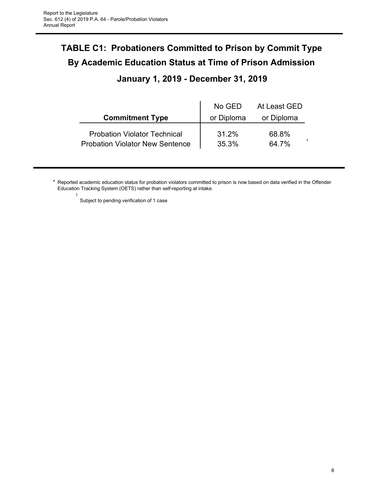# **TABLE C1: Probationers Committed to Prison by Commit Type By Academic Education Status at Time of Prison Admission**

# **January 1, 2019 - December 31, 2019**

|                                                                               | No GED         | At Least GED   |  |
|-------------------------------------------------------------------------------|----------------|----------------|--|
| <b>Commitment Type</b>                                                        | or Diploma     | or Diploma     |  |
| <b>Probation Violator Technical</b><br><b>Probation Violator New Sentence</b> | 31.2%<br>35.3% | 68.8%<br>64.7% |  |

- \* Reported academic education status for probation violators committed to prison is now based on data verified in the Offender Education Tracking System (OETS) rather than self-reporting at intake.
	-

1

Subject to pending verification of 1 case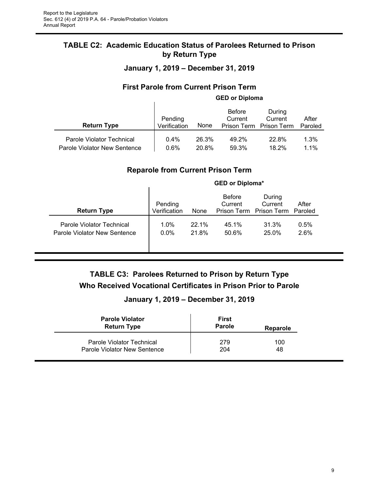## **TABLE C2: Academic Education Status of Parolees Returned to Prison by Return Type**

**January 1, 2019 – December 31, 2019**

## **First Parole from Current Prison Term**

|                                                           | <b>GED or Diploma</b>   |                |                          |                                              |                  |
|-----------------------------------------------------------|-------------------------|----------------|--------------------------|----------------------------------------------|------------------|
| <b>Return Type</b>                                        | Pending<br>Verification | None           | <b>Before</b><br>Current | During<br>Current<br>Prison Term Prison Term | After<br>Paroled |
| Parole Violator Technical<br>Parole Violator New Sentence | 0.4%<br>$0.6\%$         | 26.3%<br>20.8% | 49.2%<br>59.3%           | 22.8%<br>18.2%                               | 1.3%<br>1.1%     |

## **Reparole from Current Prison Term**

| <b>Return Type</b>           | Pending<br>Verification | None  | <b>Before</b><br>Current | During<br>Current<br>Prison Term Prison Term Paroled | After |
|------------------------------|-------------------------|-------|--------------------------|------------------------------------------------------|-------|
| Parole Violator Technical    | 1.0%                    | 22.1% | 45.1%                    | 31.3%                                                | 0.5%  |
| Parole Violator New Sentence | $0.0\%$                 | 21.8% | 50.6%                    | 25.0%                                                | 2.6%  |

## **GED or Diploma\***

**TABLE C3: Parolees Returned to Prison by Return Type Who Received Vocational Certificates in Prison Prior to Parole**

## **January 1, 2019 – December 31, 2019**

| <b>Parole Violator</b>       | First  |          |
|------------------------------|--------|----------|
| <b>Return Type</b>           | Parole | Reparole |
| Parole Violator Technical    | 279    | 100      |
| Parole Violator New Sentence | 204    | 48       |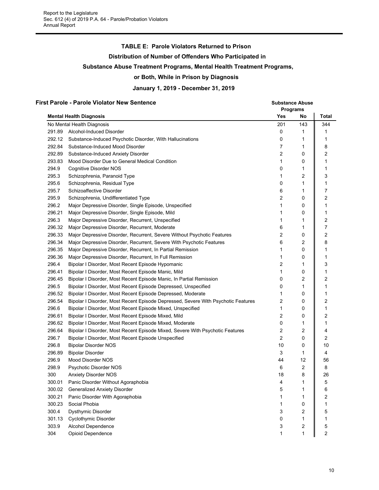#### **TABLE E: Parole Violators Returned to Prison**

**Distribution of Number of Offenders Who Participated in**

#### **Substance Abuse Treatment Programs, Mental Health Treatment Programs,**

#### **or Both, While in Prison by Diagnosis**

**January 1, 2019 - December 31, 2019**

#### **First Parole - Parole Violator New Sentence Substance Abuse Substance Abuse Substance Abuse**

|        |                                                                                   | <b>Programs</b> |     |       |
|--------|-----------------------------------------------------------------------------------|-----------------|-----|-------|
|        | <b>Mental Health Diagnosis</b>                                                    | Yes             | No  | Total |
|        | No Mental Health Diagnosis                                                        | 201             | 143 | 344   |
| 291.89 | Alcohol-Induced Disorder                                                          | 0               | 1   | 1     |
| 292.12 | Substance-Induced Psychotic Disorder, With Hallucinations                         | 0               | 1   | 1     |
| 292.84 | Substance-Induced Mood Disorder                                                   | 7               | 1   | 8     |
| 292.89 | Substance-Induced Anxiety Disorder                                                | 2               | 0   | 2     |
| 293.83 | Mood Disorder Due to General Medical Condition                                    | 1               | 0   | 1     |
| 294.9  | Cognitive Disorder NOS                                                            | 0               | 1   | 1     |
| 295.3  | Schizophrenia, Paranoid Type                                                      | 1               | 2   | 3     |
| 295.6  | Schizophrenia, Residual Type                                                      | 0               | 1   | 1     |
| 295.7  | Schizoaffective Disorder                                                          | 6               | 1   | 7     |
| 295.9  | Schizophrenia, Undifferentiated Type                                              | 2               | 0   | 2     |
| 296.2  | Major Depressive Disorder, Single Episode, Unspecified                            | 1               | 0   | 1     |
| 296.21 | Major Depressive Disorder, Single Episode, Mild                                   | 1               | 0   | 1     |
| 296.3  | Major Depressive Disorder, Recurrent, Unspecified                                 | 1               | 1   | 2     |
| 296.32 | Major Depressive Disorder, Recurrent, Moderate                                    | 6               | 1   | 7     |
| 296.33 | Major Depressive Disorder, Recurrent, Severe Without Psychotic Features           | 2               | 0   | 2     |
| 296.34 | Major Depressive Disorder, Recurrent, Severe With Psychotic Features              | 6               | 2   | 8     |
| 296.35 | Major Depressive Disorder, Recurrent, In Partial Remission                        | 1               | 0   | 1     |
| 296.36 | Major Depressive Disorder, Recurrent, In Full Remission                           | 1               | 0   | 1     |
| 296.4  | Bipolar I Disorder, Most Recent Episode Hypomanic                                 | 2               | 1   | 3     |
| 296.41 | Bipolar I Disorder, Most Recent Episode Manic, Mild                               | 1               | 0   | 1     |
| 296.45 | Bipolar I Disorder, Most Recent Episode Manic, In Partial Remission               | 0               | 2   | 2     |
| 296.5  | Bipolar I Disorder, Most Recent Episode Depressed, Unspecified                    | 0               | 1   | 1     |
| 296.52 | Bipolar I Disorder, Most Recent Episode Depressed, Moderate                       | 1               | 0   | 1     |
| 296.54 | Bipolar I Disorder, Most Recent Episode Depressed, Severe With Psychotic Features | 2               | 0   | 2     |
| 296.6  | Bipolar I Disorder, Most Recent Episode Mixed, Unspecified                        | 1               | 0   | 1     |
| 296.61 | Bipolar I Disorder, Most Recent Episode Mixed, Mild                               | 2               | 0   | 2     |
| 296.62 | Bipolar I Disorder, Most Recent Episode Mixed, Moderate                           | 0               | 1   | 1     |
| 296.64 | Bipolar I Disorder, Most Recent Episode Mixed, Severe With Psychotic Features     | 2               | 2   | 4     |
| 296.7  | Bipolar I Disorder, Most Recent Episode Unspecified                               | 2               | 0   | 2     |
| 296.8  | <b>Bipolar Disorder NOS</b>                                                       | 10              | 0   | 10    |
| 296.89 | Bipolar Disorder                                                                  | 3               | 1   | 4     |
| 296.9  | Mood Disorder NOS                                                                 | 44              | 12  | 56    |
| 298.9  | Psychotic Disorder NOS                                                            | 6               | 2   | 8     |
| 300    | <b>Anxiety Disorder NOS</b>                                                       | 18              | 8   | 26    |
| 300.01 | Panic Disorder Without Agoraphobia                                                | 4               | 1   | 5     |
| 300.02 | Generalized Anxiety Disorder                                                      | 5               | 1   | 6     |
| 300.21 | Panic Disorder With Agoraphobia                                                   | 1               | 1   | 2     |
| 300.23 | Social Phobia                                                                     | 1               | 0   | 1     |
| 300.4  | Dysthymic Disorder                                                                | 3               | 2   | 5     |
| 301.13 | Cyclothymic Disorder                                                              | 0               | 1   | 1     |
| 303.9  | <b>Alcohol Dependence</b>                                                         | 3               | 2   | 5     |
| 304    | Opioid Dependence                                                                 | 1               | 1   | 2     |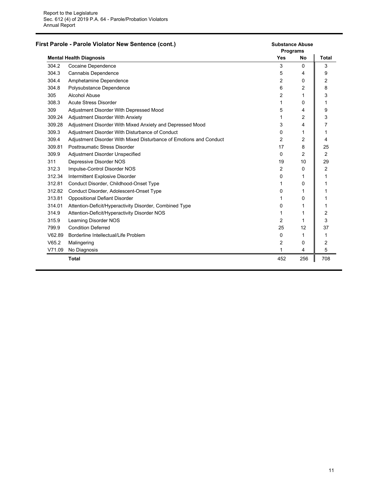|        | First Parole - Parole Violator New Sentence (cont.)                | <b>Substance Abuse</b><br>Programs |           |                |
|--------|--------------------------------------------------------------------|------------------------------------|-----------|----------------|
|        | <b>Mental Health Diagnosis</b>                                     | <b>Yes</b>                         | <b>No</b> | <b>Total</b>   |
| 304.2  | Cocaine Dependence                                                 | 3                                  | $\Omega$  | 3              |
| 304.3  | Cannabis Dependence                                                | 5                                  | 4         | 9              |
| 304.4  | Amphetamine Dependence                                             | 2                                  | 0         | 2              |
| 304.8  | Polysubstance Dependence                                           | 6                                  | 2         | 8              |
| 305    | Alcohol Abuse                                                      | 2                                  |           | 3              |
| 308.3  | <b>Acute Stress Disorder</b>                                       | 1                                  | 0         | 1              |
| 309    | Adjustment Disorder With Depressed Mood                            | 5                                  | 4         | 9              |
| 309.24 | Adjustment Disorder With Anxiety                                   | 1                                  | 2         | 3              |
| 309.28 | Adjustment Disorder With Mixed Anxiety and Depressed Mood          | 3                                  | 4         | 7              |
| 309.3  | Adjustment Disorder With Disturbance of Conduct                    | 0                                  |           | 1              |
| 309.4  | Adjustment Disorder With Mixed Disturbance of Emotions and Conduct | 2                                  | 2         | 4              |
| 309.81 | Posttraumatic Stress Disorder                                      | 17                                 | 8         | 25             |
| 309.9  | Adjustment Disorder Unspecified                                    | 0                                  | 2         | 2              |
| 311    | Depressive Disorder NOS                                            | 19                                 | 10        | 29             |
| 312.3  | Impulse-Control Disorder NOS                                       | 2                                  | 0         | $\overline{2}$ |
| 312.34 | Intermittent Explosive Disorder                                    | 0                                  |           | 1              |
| 312.81 | Conduct Disorder, Childhood-Onset Type                             | 1                                  | 0         | 1              |
| 312.82 | Conduct Disorder, Adolescent-Onset Type                            | 0                                  |           | 1              |
| 313.81 | <b>Oppositional Defiant Disorder</b>                               | 1                                  | 0         | 1              |
| 314.01 | Attention-Deficit/Hyperactivity Disorder, Combined Type            | 0                                  |           | 1              |
| 314.9  | Attention-Deficit/Hyperactivity Disorder NOS                       | 1                                  |           | 2              |
| 315.9  | Learning Disorder NOS                                              | 2                                  |           | 3              |
| 799.9  | <b>Condition Deferred</b>                                          | 25                                 | 12        | 37             |
| V62.89 | Borderline Intellectual/Life Problem                               | 0                                  |           | 1              |
| V65.2  | Malingering                                                        | 2                                  | 0         | 2              |
| V71.09 | No Diagnosis                                                       | 1                                  | 4         | 5              |
|        | <b>Total</b>                                                       | 452                                | 256       | 708            |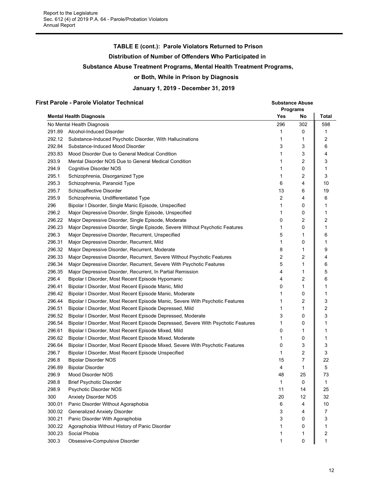## **TABLE E (cont.): Parole Violators Returned to Prison**

#### **Distribution of Number of Offenders Who Participated in**

#### **Substance Abuse Treatment Programs, Mental Health Treatment Programs,**

#### **or Both, While in Prison by Diagnosis**

**January 1, 2019 - December 31, 2019**

#### **First Parole - Parole Violator Technical Substance Abuse**

**Programs Mental Health Diagnosis Yes No Total** No Mental Health Diagnosis 296 302 598 291.89 Alcohol-Induced Disorder 1 0 || 1 292.12 Substance-Induced Psychotic Disorder, With Hallucinations 1 1 1 | 2 292.84 Substance-Induced Mood Disorder 3 3 6 293.83 Mood Disorder Due to General Medical Condition 1 3 4 293.9 Mental Disorder NOS Due to General Medical Condition 1 2 ‖ 3 294.9 Cognitive Disorder NOS 1 0 1 1 0 1 1 295.1 Schizophrenia, Disorganized Type 1 2 3 295.3 Schizophrenia, Paranoid Type 6 4 10 295.7 Schizoaffective Disorder 13 6 19 295.9 Schizophrenia, Undifferentiated Type 2 4  $\parallel$  6 296 Bipolar I Disorder, Single Manic Episode, Unspecified 1 0 1 296.2 Major Depressive Disorder, Single Episode, Unspecified 1 0 || 1 296.22 Major Depressive Disorder, Single Episode, Moderate **1988** 2 2 2 2 2 2 2 2 296.23 Major Depressive Disorder, Single Episode, Severe Without Psychotic Features 1 1 0 || 1 296.3 Major Depressive Disorder, Recurrent, Unspecified  $\begin{array}{ccc} 5 & 1 & 6 \end{array}$ 296.31 Major Depressive Disorder, Recurrent, Mild 1 0 1 296.32 Major Depressive Disorder, Recurrent, Moderate **8** 1 || 9 296.33 Major Depressive Disorder, Recurrent, Severe Without Psychotic Features 2 2 4 4 296.34 Major Depressive Disorder, Recurrent, Severe With Psychotic Features 5 5 1 | 6 296.35 Major Depressive Disorder, Recurrent, In Partial Remission 4 1 | 5 296.4 Bipolar I Disorder, Most Recent Episode Hypomanic **4** 4 2 6 296.41 Bipolar I Disorder, Most Recent Episode Manic, Mild 0 1 1 296.42 Bipolar I Disorder, Most Recent Episode Manic, Moderate 1 0 1 296.44 Bipolar I Disorder, Most Recent Episode Manic, Severe With Psychotic Features 1 2 | 3 296.51 Bipolar I Disorder, Most Recent Episode Depressed, Mild 1 1 1 1 1 2 1 1 2 296.52 Bipolar I Disorder, Most Recent Episode Depressed, Moderate 3 3 0 || 3 296.54 Bipolar I Disorder, Most Recent Episode Depressed, Severe With Psychotic Features 1 0 | 1 296.61 Bipolar I Disorder, Most Recent Episode Mixed, Mild 0 1 || 1 296.62 Bipolar I Disorder, Most Recent Episode Mixed, Moderate 1 0 1 296.64 Bipolar I Disorder, Most Recent Episode Mixed, Severe With Psychotic Features 0 3 || 3 296.7 Bipolar I Disorder, Most Recent Episode Unspecified 1 2 3 296.8 Bipolar Disorder NOS 15 7 22 296.89 Bipolar Disorder 4 1 || 5 296.9 Mood Disorder NOS 48 25 73 298.8 Brief Psychotic Disorder 1 0 1 298.9 Psychotic Disorder NOS 11 14 25 300 Anxiety Disorder NOS 20 12 32 300.01 Panic Disorder Without Agoraphobia 6 4 || 10 300.02 Generalized Anxiety Disorder 3 4 7 300.21 Panic Disorder With Agoraphobia 3 0  $\parallel$  3 300.22 Agoraphobia Without History of Panic Disorder 1 0 1 300.23 Social Phobia 1 1 2 300.3 Obsessive-Compulsive Disorder 1 0 1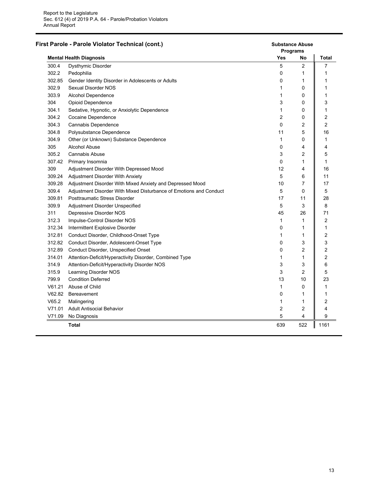|        | First Parole - Parole Violator Technical (cont.)                   | <b>Substance Abuse</b><br><b>Programs</b> |     |                         |
|--------|--------------------------------------------------------------------|-------------------------------------------|-----|-------------------------|
|        | <b>Mental Health Diagnosis</b>                                     | Yes                                       | No  | Total                   |
| 300.4  | Dysthymic Disorder                                                 | 5                                         | 2   | 7                       |
| 302.2  | Pedophilia                                                         | 0                                         | 1   | 1                       |
| 302.85 | Gender Identity Disorder in Adolescents or Adults                  | 0                                         | 1   | 1                       |
| 302.9  | Sexual Disorder NOS                                                | 1                                         | 0   | 1                       |
| 303.9  | Alcohol Dependence                                                 | 1                                         | 0   | 1                       |
| 304    | Opioid Dependence                                                  | 3                                         | 0   | 3                       |
| 304.1  | Sedative, Hypnotic, or Anxiolytic Dependence                       | 1                                         | 0   | 1                       |
| 304.2  | Cocaine Dependence                                                 | $\overline{2}$                            | 0   | $\overline{2}$          |
| 304.3  | Cannabis Dependence                                                | 0                                         | 2   | $\overline{2}$          |
| 304.8  | Polysubstance Dependence                                           | 11                                        | 5   | 16                      |
| 304.9  | Other (or Unknown) Substance Dependence                            | 1                                         | 0   | 1                       |
| 305    | <b>Alcohol Abuse</b>                                               | 0                                         | 4   | 4                       |
| 305.2  | <b>Cannabis Abuse</b>                                              | 3                                         | 2   | 5                       |
| 307.42 | Primary Insomnia                                                   | 0                                         | 1   | $\mathbf{1}$            |
| 309    | Adjustment Disorder With Depressed Mood                            | 12                                        | 4   | 16                      |
| 309.24 | Adjustment Disorder With Anxiety                                   | 5                                         | 6   | 11                      |
| 309.28 | Adjustment Disorder With Mixed Anxiety and Depressed Mood          | 10                                        | 7   | 17                      |
| 309.4  | Adjustment Disorder With Mixed Disturbance of Emotions and Conduct | 5                                         | 0   | 5                       |
| 309.81 | <b>Posttraumatic Stress Disorder</b>                               | 17                                        | 11  | 28                      |
| 309.9  | Adjustment Disorder Unspecified                                    | 5                                         | 3   | 8                       |
| 311    | Depressive Disorder NOS                                            | 45                                        | 26  | 71                      |
| 312.3  | Impulse-Control Disorder NOS                                       | 1                                         | 1   | $\overline{\mathbf{c}}$ |
| 312.34 | Intermittent Explosive Disorder                                    | 0                                         | 1   | $\mathbf{1}$            |
| 312.81 | Conduct Disorder, Childhood-Onset Type                             | 1                                         | 1   | $\boldsymbol{2}$        |
| 312.82 | Conduct Disorder, Adolescent-Onset Type                            | 0                                         | 3   | 3                       |
| 312.89 | Conduct Disorder, Unspecified Onset                                | 0                                         | 2   | $\overline{\mathbf{c}}$ |
| 314.01 | Attention-Deficit/Hyperactivity Disorder, Combined Type            | 1                                         | 1   | 2                       |
| 314.9  | Attention-Deficit/Hyperactivity Disorder NOS                       | 3                                         | 3   | 6                       |
| 315.9  | Learning Disorder NOS                                              | 3                                         | 2   | 5                       |
| 799.9  | <b>Condition Deferred</b>                                          | 13                                        | 10  | 23                      |
| V61.21 | Abuse of Child                                                     | $\mathbf{1}$                              | 0   | 1                       |
| V62.82 | <b>Bereavement</b>                                                 | 0                                         | 1   | 1                       |
| V65.2  | Malingering                                                        | 1                                         | 1   | $\boldsymbol{2}$        |
| V71.01 | <b>Adult Antisocial Behavior</b>                                   | 2                                         | 2   | 4                       |
| V71.09 | No Diagnosis                                                       | 5                                         | 4   | 9                       |
|        | <b>Total</b>                                                       | 639                                       | 522 | 1161                    |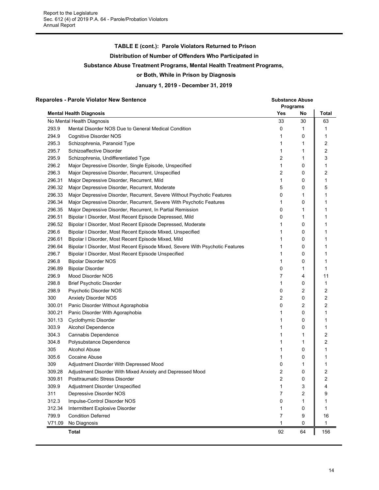## **TABLE E (cont.): Parole Violators Returned to Prison**

**Distribution of Number of Offenders Who Participated in**

#### **Substance Abuse Treatment Programs, Mental Health Treatment Programs,**

#### **or Both, While in Prison by Diagnosis**

**January 1, 2019 - December 31, 2019**

#### **Reparoles - Parole Violator New Sentence Substance Abuse**

| <b>Mental Health Diagnosis</b><br>Yes<br>Total<br>No<br>33<br>30<br>63<br>No Mental Health Diagnosis<br>293.9<br>0<br>1<br>Mental Disorder NOS Due to General Medical Condition<br>1<br>294.9<br>Cognitive Disorder NOS<br>1<br>0<br>1<br>295.3<br>2<br>Schizophrenia, Paranoid Type<br>1<br>1<br>2<br>295.7<br>Schizoaffective Disorder<br>1<br>1<br>3<br>295.9<br>2<br>Schizophrenia, Undifferentiated Type<br>1<br>296.2<br>Major Depressive Disorder, Single Episode, Unspecified<br>1<br>0<br>1<br>296.3<br>2<br>2<br>Major Depressive Disorder, Recurrent, Unspecified<br>0<br>296.31<br>Major Depressive Disorder, Recurrent, Mild<br>1<br>0<br>1<br>296.32<br>5<br>5<br>Major Depressive Disorder, Recurrent, Moderate<br>0<br>296.33<br>0<br>1<br>Major Depressive Disorder, Recurrent, Severe Without Psychotic Features<br>1<br>296.34<br>Major Depressive Disorder, Recurrent, Severe With Psychotic Features<br>1<br>0<br>1<br>296.35<br>Major Depressive Disorder, Recurrent, In Partial Remission<br>0<br>1<br>1<br>296.51<br>0<br>Bipolar I Disorder, Most Recent Episode Depressed, Mild<br>1<br>1<br>296.52<br>Bipolar I Disorder, Most Recent Episode Depressed, Moderate<br>0<br>1<br>1<br>296.6<br>Bipolar I Disorder, Most Recent Episode Mixed, Unspecified<br>0<br>1<br>1<br>296.61<br>Bipolar I Disorder, Most Recent Episode Mixed, Mild<br>0<br>1<br>1<br>296.64<br>Bipolar I Disorder, Most Recent Episode Mixed, Severe With Psychotic Features<br>0<br>1<br>1<br>296.7<br>Bipolar I Disorder, Most Recent Episode Unspecified<br>0<br>1<br>1<br>296.8<br><b>Bipolar Disorder NOS</b><br>0<br>1<br>1<br>296.89<br><b>Bipolar Disorder</b><br>0<br>1<br>1<br>296.9<br>7<br>Mood Disorder NOS<br>4<br>11<br>298.8<br><b>Brief Psychotic Disorder</b><br>0<br>1<br>1<br>298.9<br>2<br>2<br>Psychotic Disorder NOS<br>0<br>2<br>300<br>2<br><b>Anxiety Disorder NOS</b><br>0<br>2<br>0<br>2<br>300.01<br>Panic Disorder Without Agoraphobia<br>300.21<br>Panic Disorder With Agoraphobia<br>0<br>1<br>1<br>301.13<br>Cyclothymic Disorder<br>0<br>1<br>1 |
|-----------------------------------------------------------------------------------------------------------------------------------------------------------------------------------------------------------------------------------------------------------------------------------------------------------------------------------------------------------------------------------------------------------------------------------------------------------------------------------------------------------------------------------------------------------------------------------------------------------------------------------------------------------------------------------------------------------------------------------------------------------------------------------------------------------------------------------------------------------------------------------------------------------------------------------------------------------------------------------------------------------------------------------------------------------------------------------------------------------------------------------------------------------------------------------------------------------------------------------------------------------------------------------------------------------------------------------------------------------------------------------------------------------------------------------------------------------------------------------------------------------------------------------------------------------------------------------------------------------------------------------------------------------------------------------------------------------------------------------------------------------------------------------------------------------------------------------------------------------------------------------------------------------------------------------------------------------------------------------------------------------------------------------------------------------------------------------|
|                                                                                                                                                                                                                                                                                                                                                                                                                                                                                                                                                                                                                                                                                                                                                                                                                                                                                                                                                                                                                                                                                                                                                                                                                                                                                                                                                                                                                                                                                                                                                                                                                                                                                                                                                                                                                                                                                                                                                                                                                                                                                   |
|                                                                                                                                                                                                                                                                                                                                                                                                                                                                                                                                                                                                                                                                                                                                                                                                                                                                                                                                                                                                                                                                                                                                                                                                                                                                                                                                                                                                                                                                                                                                                                                                                                                                                                                                                                                                                                                                                                                                                                                                                                                                                   |
|                                                                                                                                                                                                                                                                                                                                                                                                                                                                                                                                                                                                                                                                                                                                                                                                                                                                                                                                                                                                                                                                                                                                                                                                                                                                                                                                                                                                                                                                                                                                                                                                                                                                                                                                                                                                                                                                                                                                                                                                                                                                                   |
|                                                                                                                                                                                                                                                                                                                                                                                                                                                                                                                                                                                                                                                                                                                                                                                                                                                                                                                                                                                                                                                                                                                                                                                                                                                                                                                                                                                                                                                                                                                                                                                                                                                                                                                                                                                                                                                                                                                                                                                                                                                                                   |
|                                                                                                                                                                                                                                                                                                                                                                                                                                                                                                                                                                                                                                                                                                                                                                                                                                                                                                                                                                                                                                                                                                                                                                                                                                                                                                                                                                                                                                                                                                                                                                                                                                                                                                                                                                                                                                                                                                                                                                                                                                                                                   |
|                                                                                                                                                                                                                                                                                                                                                                                                                                                                                                                                                                                                                                                                                                                                                                                                                                                                                                                                                                                                                                                                                                                                                                                                                                                                                                                                                                                                                                                                                                                                                                                                                                                                                                                                                                                                                                                                                                                                                                                                                                                                                   |
|                                                                                                                                                                                                                                                                                                                                                                                                                                                                                                                                                                                                                                                                                                                                                                                                                                                                                                                                                                                                                                                                                                                                                                                                                                                                                                                                                                                                                                                                                                                                                                                                                                                                                                                                                                                                                                                                                                                                                                                                                                                                                   |
|                                                                                                                                                                                                                                                                                                                                                                                                                                                                                                                                                                                                                                                                                                                                                                                                                                                                                                                                                                                                                                                                                                                                                                                                                                                                                                                                                                                                                                                                                                                                                                                                                                                                                                                                                                                                                                                                                                                                                                                                                                                                                   |
|                                                                                                                                                                                                                                                                                                                                                                                                                                                                                                                                                                                                                                                                                                                                                                                                                                                                                                                                                                                                                                                                                                                                                                                                                                                                                                                                                                                                                                                                                                                                                                                                                                                                                                                                                                                                                                                                                                                                                                                                                                                                                   |
|                                                                                                                                                                                                                                                                                                                                                                                                                                                                                                                                                                                                                                                                                                                                                                                                                                                                                                                                                                                                                                                                                                                                                                                                                                                                                                                                                                                                                                                                                                                                                                                                                                                                                                                                                                                                                                                                                                                                                                                                                                                                                   |
|                                                                                                                                                                                                                                                                                                                                                                                                                                                                                                                                                                                                                                                                                                                                                                                                                                                                                                                                                                                                                                                                                                                                                                                                                                                                                                                                                                                                                                                                                                                                                                                                                                                                                                                                                                                                                                                                                                                                                                                                                                                                                   |
|                                                                                                                                                                                                                                                                                                                                                                                                                                                                                                                                                                                                                                                                                                                                                                                                                                                                                                                                                                                                                                                                                                                                                                                                                                                                                                                                                                                                                                                                                                                                                                                                                                                                                                                                                                                                                                                                                                                                                                                                                                                                                   |
|                                                                                                                                                                                                                                                                                                                                                                                                                                                                                                                                                                                                                                                                                                                                                                                                                                                                                                                                                                                                                                                                                                                                                                                                                                                                                                                                                                                                                                                                                                                                                                                                                                                                                                                                                                                                                                                                                                                                                                                                                                                                                   |
|                                                                                                                                                                                                                                                                                                                                                                                                                                                                                                                                                                                                                                                                                                                                                                                                                                                                                                                                                                                                                                                                                                                                                                                                                                                                                                                                                                                                                                                                                                                                                                                                                                                                                                                                                                                                                                                                                                                                                                                                                                                                                   |
|                                                                                                                                                                                                                                                                                                                                                                                                                                                                                                                                                                                                                                                                                                                                                                                                                                                                                                                                                                                                                                                                                                                                                                                                                                                                                                                                                                                                                                                                                                                                                                                                                                                                                                                                                                                                                                                                                                                                                                                                                                                                                   |
|                                                                                                                                                                                                                                                                                                                                                                                                                                                                                                                                                                                                                                                                                                                                                                                                                                                                                                                                                                                                                                                                                                                                                                                                                                                                                                                                                                                                                                                                                                                                                                                                                                                                                                                                                                                                                                                                                                                                                                                                                                                                                   |
|                                                                                                                                                                                                                                                                                                                                                                                                                                                                                                                                                                                                                                                                                                                                                                                                                                                                                                                                                                                                                                                                                                                                                                                                                                                                                                                                                                                                                                                                                                                                                                                                                                                                                                                                                                                                                                                                                                                                                                                                                                                                                   |
|                                                                                                                                                                                                                                                                                                                                                                                                                                                                                                                                                                                                                                                                                                                                                                                                                                                                                                                                                                                                                                                                                                                                                                                                                                                                                                                                                                                                                                                                                                                                                                                                                                                                                                                                                                                                                                                                                                                                                                                                                                                                                   |
|                                                                                                                                                                                                                                                                                                                                                                                                                                                                                                                                                                                                                                                                                                                                                                                                                                                                                                                                                                                                                                                                                                                                                                                                                                                                                                                                                                                                                                                                                                                                                                                                                                                                                                                                                                                                                                                                                                                                                                                                                                                                                   |
|                                                                                                                                                                                                                                                                                                                                                                                                                                                                                                                                                                                                                                                                                                                                                                                                                                                                                                                                                                                                                                                                                                                                                                                                                                                                                                                                                                                                                                                                                                                                                                                                                                                                                                                                                                                                                                                                                                                                                                                                                                                                                   |
|                                                                                                                                                                                                                                                                                                                                                                                                                                                                                                                                                                                                                                                                                                                                                                                                                                                                                                                                                                                                                                                                                                                                                                                                                                                                                                                                                                                                                                                                                                                                                                                                                                                                                                                                                                                                                                                                                                                                                                                                                                                                                   |
|                                                                                                                                                                                                                                                                                                                                                                                                                                                                                                                                                                                                                                                                                                                                                                                                                                                                                                                                                                                                                                                                                                                                                                                                                                                                                                                                                                                                                                                                                                                                                                                                                                                                                                                                                                                                                                                                                                                                                                                                                                                                                   |
|                                                                                                                                                                                                                                                                                                                                                                                                                                                                                                                                                                                                                                                                                                                                                                                                                                                                                                                                                                                                                                                                                                                                                                                                                                                                                                                                                                                                                                                                                                                                                                                                                                                                                                                                                                                                                                                                                                                                                                                                                                                                                   |
|                                                                                                                                                                                                                                                                                                                                                                                                                                                                                                                                                                                                                                                                                                                                                                                                                                                                                                                                                                                                                                                                                                                                                                                                                                                                                                                                                                                                                                                                                                                                                                                                                                                                                                                                                                                                                                                                                                                                                                                                                                                                                   |
|                                                                                                                                                                                                                                                                                                                                                                                                                                                                                                                                                                                                                                                                                                                                                                                                                                                                                                                                                                                                                                                                                                                                                                                                                                                                                                                                                                                                                                                                                                                                                                                                                                                                                                                                                                                                                                                                                                                                                                                                                                                                                   |
|                                                                                                                                                                                                                                                                                                                                                                                                                                                                                                                                                                                                                                                                                                                                                                                                                                                                                                                                                                                                                                                                                                                                                                                                                                                                                                                                                                                                                                                                                                                                                                                                                                                                                                                                                                                                                                                                                                                                                                                                                                                                                   |
|                                                                                                                                                                                                                                                                                                                                                                                                                                                                                                                                                                                                                                                                                                                                                                                                                                                                                                                                                                                                                                                                                                                                                                                                                                                                                                                                                                                                                                                                                                                                                                                                                                                                                                                                                                                                                                                                                                                                                                                                                                                                                   |
|                                                                                                                                                                                                                                                                                                                                                                                                                                                                                                                                                                                                                                                                                                                                                                                                                                                                                                                                                                                                                                                                                                                                                                                                                                                                                                                                                                                                                                                                                                                                                                                                                                                                                                                                                                                                                                                                                                                                                                                                                                                                                   |
|                                                                                                                                                                                                                                                                                                                                                                                                                                                                                                                                                                                                                                                                                                                                                                                                                                                                                                                                                                                                                                                                                                                                                                                                                                                                                                                                                                                                                                                                                                                                                                                                                                                                                                                                                                                                                                                                                                                                                                                                                                                                                   |
| 303.9<br>1<br>Alcohol Dependence<br>0<br>1                                                                                                                                                                                                                                                                                                                                                                                                                                                                                                                                                                                                                                                                                                                                                                                                                                                                                                                                                                                                                                                                                                                                                                                                                                                                                                                                                                                                                                                                                                                                                                                                                                                                                                                                                                                                                                                                                                                                                                                                                                        |
| 304.3<br>2<br>Cannabis Dependence<br>1<br>1                                                                                                                                                                                                                                                                                                                                                                                                                                                                                                                                                                                                                                                                                                                                                                                                                                                                                                                                                                                                                                                                                                                                                                                                                                                                                                                                                                                                                                                                                                                                                                                                                                                                                                                                                                                                                                                                                                                                                                                                                                       |
| 2<br>304.8<br>Polysubstance Dependence<br>1<br>1                                                                                                                                                                                                                                                                                                                                                                                                                                                                                                                                                                                                                                                                                                                                                                                                                                                                                                                                                                                                                                                                                                                                                                                                                                                                                                                                                                                                                                                                                                                                                                                                                                                                                                                                                                                                                                                                                                                                                                                                                                  |
| 305<br>Alcohol Abuse<br>1<br>0<br>1                                                                                                                                                                                                                                                                                                                                                                                                                                                                                                                                                                                                                                                                                                                                                                                                                                                                                                                                                                                                                                                                                                                                                                                                                                                                                                                                                                                                                                                                                                                                                                                                                                                                                                                                                                                                                                                                                                                                                                                                                                               |
| 305.6<br>Cocaine Abuse<br>1<br>0<br>1                                                                                                                                                                                                                                                                                                                                                                                                                                                                                                                                                                                                                                                                                                                                                                                                                                                                                                                                                                                                                                                                                                                                                                                                                                                                                                                                                                                                                                                                                                                                                                                                                                                                                                                                                                                                                                                                                                                                                                                                                                             |
| 309<br>0<br>Adjustment Disorder With Depressed Mood<br>1<br>1                                                                                                                                                                                                                                                                                                                                                                                                                                                                                                                                                                                                                                                                                                                                                                                                                                                                                                                                                                                                                                                                                                                                                                                                                                                                                                                                                                                                                                                                                                                                                                                                                                                                                                                                                                                                                                                                                                                                                                                                                     |
| 2<br>2<br>309.28<br>Adjustment Disorder With Mixed Anxiety and Depressed Mood<br>0                                                                                                                                                                                                                                                                                                                                                                                                                                                                                                                                                                                                                                                                                                                                                                                                                                                                                                                                                                                                                                                                                                                                                                                                                                                                                                                                                                                                                                                                                                                                                                                                                                                                                                                                                                                                                                                                                                                                                                                                |
| $\overline{2}$<br>$\overline{2}$<br>0<br>309.81<br>Posttraumatic Stress Disorder                                                                                                                                                                                                                                                                                                                                                                                                                                                                                                                                                                                                                                                                                                                                                                                                                                                                                                                                                                                                                                                                                                                                                                                                                                                                                                                                                                                                                                                                                                                                                                                                                                                                                                                                                                                                                                                                                                                                                                                                  |
| 309.9<br>Adjustment Disorder Unspecified<br>3<br>1<br>4                                                                                                                                                                                                                                                                                                                                                                                                                                                                                                                                                                                                                                                                                                                                                                                                                                                                                                                                                                                                                                                                                                                                                                                                                                                                                                                                                                                                                                                                                                                                                                                                                                                                                                                                                                                                                                                                                                                                                                                                                           |
| 311<br>Depressive Disorder NOS<br>2<br>7<br>9                                                                                                                                                                                                                                                                                                                                                                                                                                                                                                                                                                                                                                                                                                                                                                                                                                                                                                                                                                                                                                                                                                                                                                                                                                                                                                                                                                                                                                                                                                                                                                                                                                                                                                                                                                                                                                                                                                                                                                                                                                     |
| 312.3<br>Impulse-Control Disorder NOS<br>$\mathbf{1}$<br>0<br>1                                                                                                                                                                                                                                                                                                                                                                                                                                                                                                                                                                                                                                                                                                                                                                                                                                                                                                                                                                                                                                                                                                                                                                                                                                                                                                                                                                                                                                                                                                                                                                                                                                                                                                                                                                                                                                                                                                                                                                                                                   |
| 312.34<br>Intermittent Explosive Disorder<br>0<br>1<br>1                                                                                                                                                                                                                                                                                                                                                                                                                                                                                                                                                                                                                                                                                                                                                                                                                                                                                                                                                                                                                                                                                                                                                                                                                                                                                                                                                                                                                                                                                                                                                                                                                                                                                                                                                                                                                                                                                                                                                                                                                          |
| 799.9<br><b>Condition Deferred</b><br>7<br>16<br>9                                                                                                                                                                                                                                                                                                                                                                                                                                                                                                                                                                                                                                                                                                                                                                                                                                                                                                                                                                                                                                                                                                                                                                                                                                                                                                                                                                                                                                                                                                                                                                                                                                                                                                                                                                                                                                                                                                                                                                                                                                |
| V71.09<br>No Diagnosis<br>1<br>0<br>1                                                                                                                                                                                                                                                                                                                                                                                                                                                                                                                                                                                                                                                                                                                                                                                                                                                                                                                                                                                                                                                                                                                                                                                                                                                                                                                                                                                                                                                                                                                                                                                                                                                                                                                                                                                                                                                                                                                                                                                                                                             |
| 92<br>64<br>156<br><b>Total</b>                                                                                                                                                                                                                                                                                                                                                                                                                                                                                                                                                                                                                                                                                                                                                                                                                                                                                                                                                                                                                                                                                                                                                                                                                                                                                                                                                                                                                                                                                                                                                                                                                                                                                                                                                                                                                                                                                                                                                                                                                                                   |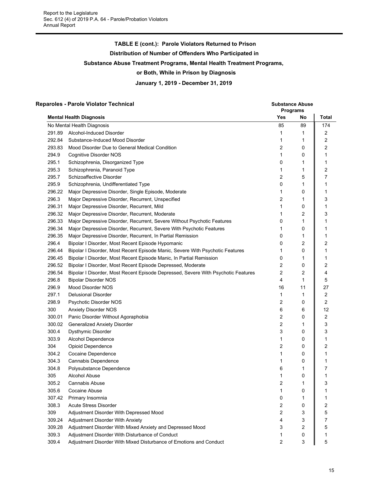## **TABLE E (cont.): Parole Violators Returned to Prison Distribution of Number of Offenders Who Participated in Substance Abuse Treatment Programs, Mental Health Treatment Programs, or Both, While in Prison by Diagnosis January 1, 2019 - December 31, 2019**

#### **Reparoles - Parole Violator Technical Substance Abuse Substance Abuse Substance Abuse**

|        |                                                                                   | Programs            |        |                |
|--------|-----------------------------------------------------------------------------------|---------------------|--------|----------------|
|        | <b>Mental Health Diagnosis</b>                                                    | Yes                 | No     | <b>Total</b>   |
|        | No Mental Health Diagnosis                                                        | 85                  | 89     | 174            |
| 291.89 | Alcohol-Induced Disorder                                                          | 1                   | 1      | 2              |
| 292.84 | Substance-Induced Mood Disorder                                                   | 1                   | 1      | 2              |
| 293.83 | Mood Disorder Due to General Medical Condition                                    | 2                   | 0      | 2              |
| 294.9  | Cognitive Disorder NOS                                                            | 1                   | 0      | 1              |
| 295.1  | Schizophrenia, Disorganized Type                                                  | 0                   | 1      | 1              |
| 295.3  | Schizophrenia, Paranoid Type                                                      | 1                   | 1      | 2              |
| 295.7  | Schizoaffective Disorder                                                          | 2                   | 5      | 7              |
| 295.9  | Schizophrenia, Undifferentiated Type                                              | 0                   | 1      | 1              |
| 296.22 | Major Depressive Disorder, Single Episode, Moderate                               | 1                   | 0      | 1              |
| 296.3  | Major Depressive Disorder, Recurrent, Unspecified                                 | 2                   | 1      | 3              |
| 296.31 | Major Depressive Disorder, Recurrent, Mild                                        | 1                   | 0      | 1              |
| 296.32 | Major Depressive Disorder, Recurrent, Moderate                                    | 1                   | 2      | 3              |
| 296.33 | Major Depressive Disorder, Recurrent, Severe Without Psychotic Features           | 0                   | 1      | 1              |
| 296.34 | Major Depressive Disorder, Recurrent, Severe With Psychotic Features              | 1                   | 0      | 1              |
| 296.35 | Major Depressive Disorder, Recurrent, In Partial Remission                        | 0                   | 1      | 1              |
| 296.4  | Bipolar I Disorder, Most Recent Episode Hypomanic                                 | 0                   | 2      | 2              |
| 296.44 | Bipolar I Disorder, Most Recent Episode Manic, Severe With Psychotic Features     | 1                   | 0      | 1              |
| 296.45 | Bipolar I Disorder, Most Recent Episode Manic, In Partial Remission               | 0                   | 1      | 1              |
| 296.52 | Bipolar I Disorder, Most Recent Episode Depressed, Moderate                       | 2                   | 0      | 2              |
| 296.54 | Bipolar I Disorder, Most Recent Episode Depressed, Severe With Psychotic Features | $\overline{2}$      | 2      | 4              |
| 296.8  | <b>Bipolar Disorder NOS</b>                                                       | 4                   | 1      | 5              |
| 296.9  | Mood Disorder NOS                                                                 | 16                  | 11     | 27             |
| 297.1  | <b>Delusional Disorder</b>                                                        | 1                   | 1      | $\overline{c}$ |
| 298.9  | Psychotic Disorder NOS                                                            | 2                   | 0      | 2              |
| 300    | <b>Anxiety Disorder NOS</b>                                                       | 6                   | 6      | 12             |
| 300.01 | Panic Disorder Without Agoraphobia                                                | 2                   | 0      | 2              |
| 300.02 | Generalized Anxiety Disorder                                                      | 2                   | 1      | 3              |
| 300.4  | Dysthymic Disorder                                                                | 3                   | 0      | 3              |
| 303.9  | Alcohol Dependence                                                                | 1                   | 0      | 1              |
| 304    | Opioid Dependence                                                                 | 2                   | 0      | 2              |
| 304.2  | Cocaine Dependence                                                                | 1                   | 0      | 1              |
| 304.3  | Cannabis Dependence                                                               | 1                   | 0      | 1              |
| 304.8  | Polysubstance Dependence                                                          | 6                   | 1      | 7              |
| 305    | Alcohol Abuse                                                                     | 1                   | 0      | 1              |
| 305.2  | Cannabis Abuse                                                                    | 2                   |        | 3              |
| 305.6  | Cocaine Abuse                                                                     | 1                   | 0      | 1              |
| 307.42 | Primary Insomnia                                                                  | 0                   | 1      | 1              |
| 308.3  | <b>Acute Stress Disorder</b>                                                      | 2                   | 0      |                |
| 309    | Adjustment Disorder With Depressed Mood                                           | 2                   |        | 2              |
| 309.24 | Adjustment Disorder With Anxiety                                                  |                     | 3      | 5              |
| 309.28 | Adjustment Disorder With Mixed Anxiety and Depressed Mood                         | 4<br>3              | 3<br>2 | 7              |
|        |                                                                                   |                     |        | 5              |
| 309.3  | Adjustment Disorder With Disturbance of Conduct                                   | 1<br>$\overline{2}$ | 0<br>3 | 1              |
| 309.4  | Adjustment Disorder With Mixed Disturbance of Emotions and Conduct                |                     |        | 5              |